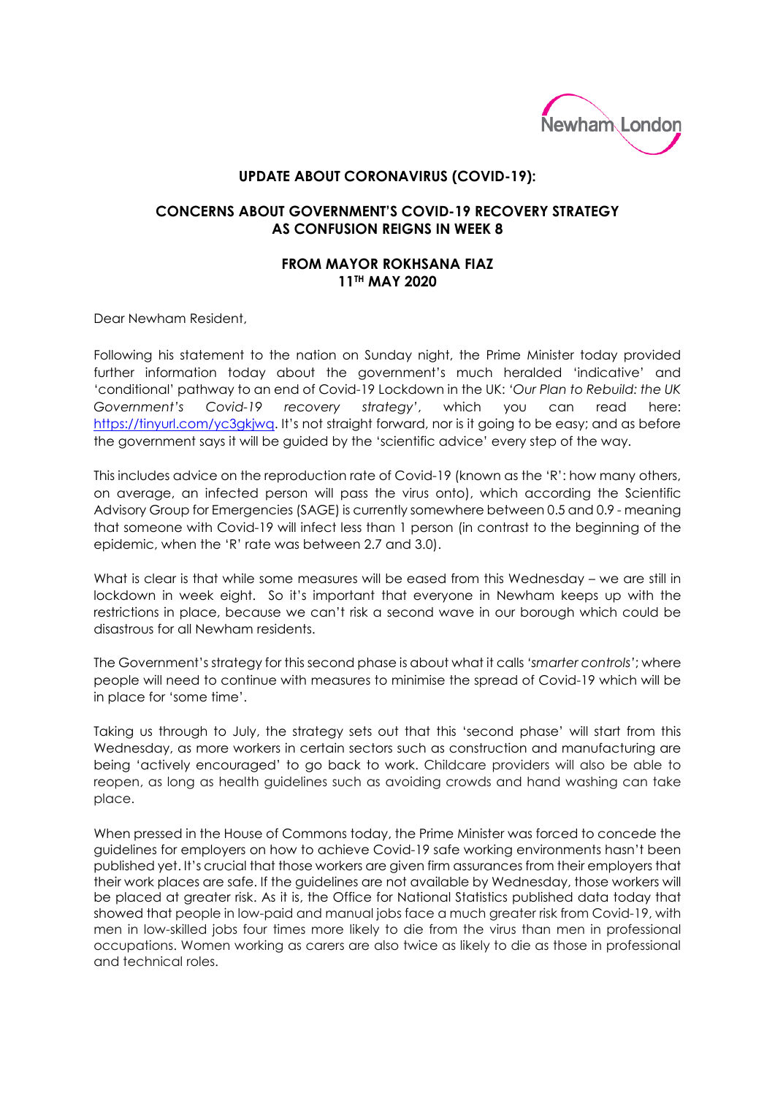

## **UPDATE ABOUT CORONAVIRUS (COVID-19):**

## **CONCERNS ABOUT GOVERNMENT'S COVID-19 RECOVERY STRATEGY AS CONFUSION REIGNS IN WEEK 8**

## **FROM MAYOR ROKHSANA FIAZ 11TH MAY 2020**

Dear Newham Resident,

Following his statement to the nation on Sunday night, the Prime Minister today provided further information today about the government's much heralded 'indicative' and 'conditional' pathway to an end of Covid-19 Lockdown in the UK: *'Our Plan to Rebuild: the UK Government's Covid-19 recovery strategy'*, which you can read here: [https://tinyurl.com/yc3gkjwq.](https://tinyurl.com/yc3gkjwq) It's not straight forward, nor is it going to be easy; and as before the government says it will be guided by the 'scientific advice' every step of the way.

This includes advice on the reproduction rate of Covid-19 (known as the 'R': how many others, on average, an infected person will pass the virus onto), which according the Scientific Advisory Group for Emergencies (SAGE) is currently somewhere between 0.5 and 0.9 - meaning that someone with Covid-19 will infect less than 1 person (in contrast to the beginning of the epidemic, when the 'R' rate was between 2.7 and 3.0).

What is clear is that while some measures will be eased from this Wednesday – we are still in lockdown in week eight. So it's important that everyone in Newham keeps up with the restrictions in place, because we can't risk a second wave in our borough which could be disastrous for all Newham residents.

The Government's strategy for this second phase is about what it calls *'smarter controls'*; where people will need to continue with measures to minimise the spread of Covid-19 which will be in place for 'some time'.

Taking us through to July, the strategy sets out that this 'second phase' will start from this Wednesday, as more workers in certain sectors such as construction and manufacturing are being 'actively encouraged' to go back to work. Childcare providers will also be able to reopen, as long as health guidelines such as avoiding crowds and hand washing can take place.

When pressed in the House of Commons today, the Prime Minister was forced to concede the guidelines for employers on how to achieve Covid-19 safe working environments hasn't been published yet. It's crucial that those workers are given firm assurances from their employers that their work places are safe. If the guidelines are not available by Wednesday, those workers will be placed at greater risk. As it is, the Office for National Statistics published data today that showed that people in low-paid and manual jobs face a much greater risk from Covid-19, with men in low-skilled jobs four times more likely to die from the virus than men in professional occupations. Women working as carers are also twice as likely to die as those in professional and technical roles.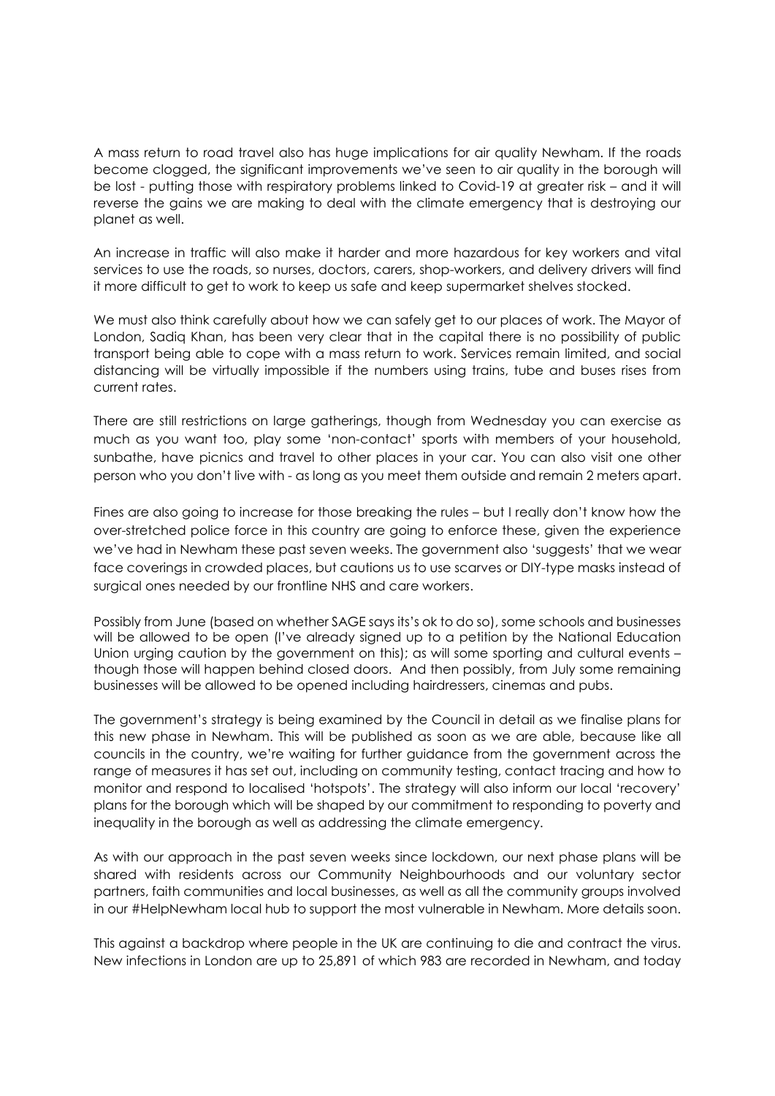A mass return to road travel also has huge implications for air quality Newham. If the roads become clogged, the significant improvements we've seen to air quality in the borough will be lost - putting those with respiratory problems linked to Covid-19 at greater risk – and it will reverse the gains we are making to deal with the climate emergency that is destroying our planet as well.

An increase in traffic will also make it harder and more hazardous for key workers and vital services to use the roads, so nurses, doctors, carers, shop-workers, and delivery drivers will find it more difficult to get to work to keep us safe and keep supermarket shelves stocked.

We must also think carefully about how we can safely get to our places of work. The Mayor of London, Sadiq Khan, has been very clear that in the capital there is no possibility of public transport being able to cope with a mass return to work. Services remain limited, and social distancing will be virtually impossible if the numbers using trains, tube and buses rises from current rates.

There are still restrictions on large gatherings, though from Wednesday you can exercise as much as you want too, play some 'non-contact' sports with members of your household, sunbathe, have picnics and travel to other places in your car. You can also visit one other person who you don't live with - as long as you meet them outside and remain 2 meters apart.

Fines are also going to increase for those breaking the rules – but I really don't know how the over-stretched police force in this country are going to enforce these, given the experience we've had in Newham these past seven weeks. The government also 'suggests' that we wear face coverings in crowded places, but cautions us to use scarves or DIY-type masks instead of surgical ones needed by our frontline NHS and care workers.

Possibly from June (based on whether SAGE says its's ok to do so), some schools and businesses will be allowed to be open (I've already signed up to a petition by the National Education Union urging caution by the government on this); as will some sporting and cultural events – though those will happen behind closed doors. And then possibly, from July some remaining businesses will be allowed to be opened including hairdressers, cinemas and pubs.

The government's strategy is being examined by the Council in detail as we finalise plans for this new phase in Newham. This will be published as soon as we are able, because like all councils in the country, we're waiting for further guidance from the government across the range of measures it has set out, including on community testing, contact tracing and how to monitor and respond to localised 'hotspots'. The strategy will also inform our local 'recovery' plans for the borough which will be shaped by our commitment to responding to poverty and inequality in the borough as well as addressing the climate emergency.

As with our approach in the past seven weeks since lockdown, our next phase plans will be shared with residents across our Community Neighbourhoods and our voluntary sector partners, faith communities and local businesses, as well as all the community groups involved in our #HelpNewham local hub to support the most vulnerable in Newham. More details soon.

This against a backdrop where people in the UK are continuing to die and contract the virus. New infections in London are up to 25,891 of which 983 are recorded in Newham, and today